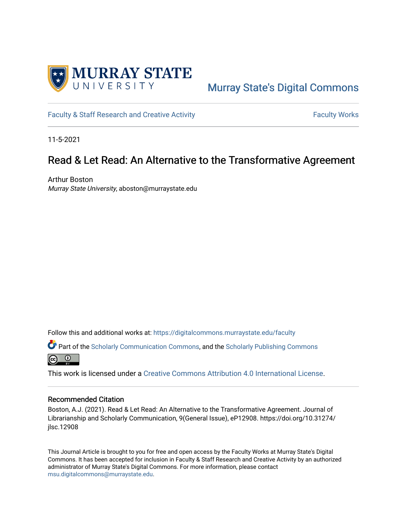

# [Murray State's Digital Commons](https://digitalcommons.murraystate.edu/)

[Faculty & Staff Research and Creative Activity](https://digitalcommons.murraystate.edu/faculty) Faculty Faculty Works

11-5-2021

# Read & Let Read: An Alternative to the Transformative Agreement

Arthur Boston Murray State University, aboston@murraystate.edu

Follow this and additional works at: [https://digitalcommons.murraystate.edu/faculty](https://digitalcommons.murraystate.edu/faculty?utm_source=digitalcommons.murraystate.edu%2Ffaculty%2F169&utm_medium=PDF&utm_campaign=PDFCoverPages) 

**Part of the [Scholarly Communication Commons,](http://network.bepress.com/hgg/discipline/1272?utm_source=digitalcommons.murraystate.edu%2Ffaculty%2F169&utm_medium=PDF&utm_campaign=PDFCoverPages) and the [Scholarly Publishing Commons](http://network.bepress.com/hgg/discipline/1273?utm_source=digitalcommons.murraystate.edu%2Ffaculty%2F169&utm_medium=PDF&utm_campaign=PDFCoverPages)** 



This work is licensed under a [Creative Commons Attribution 4.0 International License](https://creativecommons.org/licenses/by/4.0/).

#### Recommended Citation

Boston, A.J. (2021). Read & Let Read: An Alternative to the Transformative Agreement. Journal of Librarianship and Scholarly Communication, 9(General Issue), eP12908. https://doi.org/10.31274/ jlsc.12908

This Journal Article is brought to you for free and open access by the Faculty Works at Murray State's Digital Commons. It has been accepted for inclusion in Faculty & Staff Research and Creative Activity by an authorized administrator of Murray State's Digital Commons. For more information, please contact [msu.digitalcommons@murraystate.edu](mailto:msu.digitalcommons@murraystate.edu).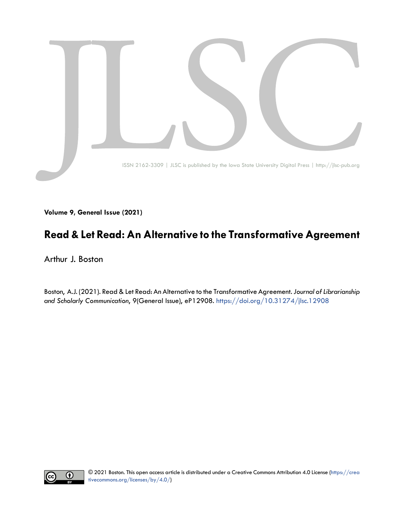

**Volume 9, General Issue (2021)**

# **Read & Let Read: An Alternative to the Transformative Agreement**

Arthur J. Boston

Boston, A.J. (2021). Read & Let Read: An Alternative to the Transformative Agreement. *Journal of Librarianship and Scholarly Communication*, 9(General Issue), eP12908. <https://doi.org/10.31274/jlsc.12908>

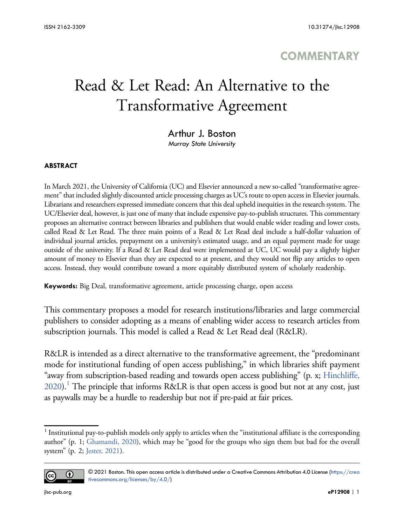# **COMMENTARY**

# Read & Let Read: An Alternative to the Transformative Agreement

## Arthur J. Boston

*Murray State University*

#### **ABSTRACT**

In March 2021, the University of California (UC) and Elsevier announced a new so-called "transformative agreement" that included slightly discounted article processing charges as UC's route to open access in Elsevier journals. Librarians and researchers expressed immediate concern that this deal upheld inequities in the research system. The UC/Elsevier deal, however, is just one of many that include expensive pay-to-publish structures. This commentary proposes an alternative contract between libraries and publishers that would enable wider reading and lower costs, called Read & Let Read. The three main points of a Read & Let Read deal include a half-dollar valuation of individual journal articles, prepayment on a university's estimated usage, and an equal payment made for usage outside of the university. If a Read & Let Read deal were implemented at UC, UC would pay a slightly higher amount of money to Elsevier than they are expected to at present, and they would not flip any articles to open access. Instead, they would contribute toward a more equitably distributed system of scholarly readership.

**Keywords:** Big Deal, transformative agreement, article processing charge, open access

This commentary proposes a model for research institutions/libraries and large commercial publishers to consider adopting as a means of enabling wider access to research articles from subscription journals. This model is called a Read & Let Read deal (R&LR).

R&LR is intended as a direct alternative to the transformative agreement, the "predominant mode for institutional funding of open access publishing," in which libraries shift payment "away from subscription-based reading and towards open access publishing" (p. x; [Hinchliffe,](#page-6-0)  $2020$ ).<sup>1</sup> The principle that informs R&LR is that open access is good but not at any cost, just as paywalls may be a hurdle to readership but not if pre-paid at fair prices.

<sup>&</sup>lt;sup>1</sup> Institutional pay-to-publish models only apply to articles when the "institutional affiliate is the corresponding author" (p. 1; [Ghamandi, 2020\)](#page-6-0), which may be "good for the groups who sign them but bad for the overall system" (p. 2; [Jester, 2021\)](#page-6-0).



<sup>© 2021</sup> Boston. This open access article is distributed under a Creative Commons Attribution 4.0 License [\(https://crea](https://creativecommons.org/licenses/by/4.0/) [tivecommons.org/licenses/by/4.0/](https://creativecommons.org/licenses/by/4.0/))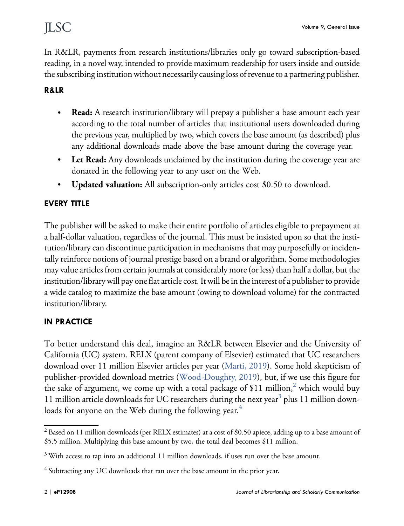In R&LR, payments from research institutions/libraries only go toward subscription-based reading, in a novel way, intended to provide maximum readership for users inside and outside the subscribing institution without necessarily causing loss of revenue to a partnering publisher.

#### **R&LR**

- � **Read:** A research institution/library will prepay a publisher a base amount each year according to the total number of articles that institutional users downloaded during the previous year, multiplied by two, which covers the base amount (as described) plus any additional downloads made above the base amount during the coverage year.
- Let Read: Any downloads unclaimed by the institution during the coverage year are donated in the following year to any user on the Web.
- � **Updated valuation:** All subscription-only articles cost \$0.50 to download.

### **EVERY TITLE**

The publisher will be asked to make their entire portfolio of articles eligible to prepayment at a half-dollar valuation, regardless of the journal. This must be insisted upon so that the institution/library can discontinue participation in mechanisms that may purposefully or incidentally reinforce notions of journal prestige based on a brand or algorithm. Some methodologies may value articles from certain journals at considerably more (or less) than half a dollar, but the institution/library will pay one flat article cost. It will be in the interest of a publisher to provide a wide catalog to maximize the base amount (owing to download volume) for the contracted institution/library.

#### **IN PRACTICE**

To better understand this deal, imagine an R&LR between Elsevier and the University of California (UC) system. RELX (parent company of Elsevier) estimated that UC researchers download over 11 million Elsevier articles per year [\(Marti, 2019\)](#page-6-0). Some hold skepticism of publisher-provided download metrics [\(Wood-Doughty, 2019](#page-6-0)), but, if we use this figure for the sake of argument, we come up with a total package of \$11 million,<sup>2</sup> which would buy 11 million article downloads for UC researchers during the next year<sup>3</sup> plus 11 million downloads for anyone on the Web during the following year. $^4$ 

<sup>2</sup> Based on 11 million downloads (per RELX estimates) at a cost of \$0.50 apiece, adding up to a base amount of \$5.5 million. Multiplying this base amount by two, the total deal becomes \$11 million.

<sup>&</sup>lt;sup>3</sup> With access to tap into an additional 11 million downloads, if uses run over the base amount.

<sup>&</sup>lt;sup>4</sup> Subtracting any UC downloads that ran over the base amount in the prior year.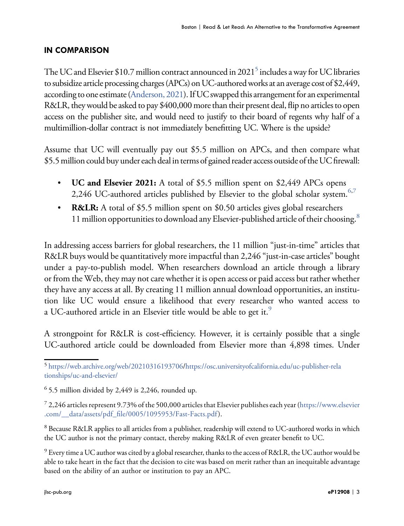#### **IN COMPARISON**

The UC and Elsevier \$10.7 million contract announced in 2021<sup>5</sup> includes a way for UC libraries to subsidize article processing charges (APCs) on UC-authored works at an average cost of \$2,449, according to one estimate [\(Anderson, 2021\)](#page-6-0). If UC swapped this arrangement for an experimental R&LR, they would be asked to pay \$400,000 more than their present deal, flip no articles to open access on the publisher site, and would need to justify to their board of regents why half of a multimillion-dollar contract is not immediately benefitting UC. Where is the upside?

Assume that UC will eventually pay out \$5.5 million on APCs, and then compare what \$5.5 million could buy under each deal in terms of gained reader access outside of the UC firewall:

- **UC and Elsevier 2021:** A total of \$5.5 million spent on \$2,449 APCs opens 2,246 UC-authored articles published by Elsevier to the global scholar system.<sup>6,7</sup>
- **R&LR:** A total of \$5.5 million spent on \$0.50 articles gives global researchers 11 million opportunities to download any Elsevier-published article of their choosing.<sup>8</sup>

In addressing access barriers for global researchers, the 11 million "just-in-time" articles that R&LR buys would be quantitatively more impactful than 2,246 "just-in-case articles" bought under a pay-to-publish model. When researchers download an article through a library or from the Web, they may not care whether it is open access or paid access but rather whether they have any access at all. By creating 11 million annual download opportunities, an institution like UC would ensure a likelihood that every researcher who wanted access to a UC-authored article in an Elsevier title would be able to get it.<sup>9</sup>

A strongpoint for R&LR is cost-efficiency. However, it is certainly possible that a single UC-authored article could be downloaded from Elsevier more than 4,898 times. Under

<sup>7</sup> 2,246 articles represent 9.73% of the 500,000 articles that Elsevier publishes each year ([https://www.elsevier](https://www.elsevier.com/__data/assets/pdf_file/0005/1095953/Fast-Facts.pdf)  [.com/\\_\\_data/assets/pdf\\_file/0005/1095953/Fast-Facts.pdf](https://www.elsevier.com/__data/assets/pdf_file/0005/1095953/Fast-Facts.pdf)).

<sup>8</sup> Because R&LR applies to all articles from a publisher, readership will extend to UC-authored works in which the UC author is not the primary contact, thereby making R&LR of even greater benefit to UC.

<sup>9</sup> Every time a UC author was cited by a global researcher, thanks to the access of R&LR, the UC author would be able to take heart in the fact that the decision to cite was based on merit rather than an inequitable advantage based on the ability of an author or institution to pay an APC.

<sup>5</sup> <https://web.archive.org/web/20210316193706>/[https://osc.universityofcalifornia.edu/uc-publisher-rela](https://osc.universityofcalifornia.edu/uc-publisher-relationships/uc-and-elsevier/)  [tionships/uc-and-elsevier/](https://osc.universityofcalifornia.edu/uc-publisher-relationships/uc-and-elsevier/)

 $6$  5.5 million divided by 2,449 is 2,246, rounded up.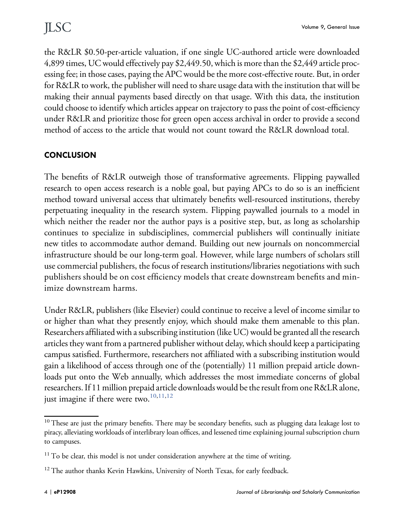the R&LR \$0.50-per-article valuation, if one single UC-authored article were downloaded 4,899 times, UC would effectively pay \$2,449.50, which is more than the \$2,449 article processing fee; in those cases, paying the APC would be the more cost-effective route. But, in order for R&LR to work, the publisher will need to share usage data with the institution that will be making their annual payments based directly on that usage. With this data, the institution could choose to identify which articles appear on trajectory to pass the point of cost-efficiency under R&LR and prioritize those for green open access archival in order to provide a second method of access to the article that would not count toward the R&LR download total.

#### **CONCLUSION**

The benefits of R&LR outweigh those of transformative agreements. Flipping paywalled research to open access research is a noble goal, but paying APCs to do so is an inefficient method toward universal access that ultimately benefits well-resourced institutions, thereby perpetuating inequality in the research system. Flipping paywalled journals to a model in which neither the reader nor the author pays is a positive step, but, as long as scholarship continues to specialize in subdisciplines, commercial publishers will continually initiate new titles to accommodate author demand. Building out new journals on noncommercial infrastructure should be our long-term goal. However, while large numbers of scholars still use commercial publishers, the focus of research institutions/libraries negotiations with such publishers should be on cost efficiency models that create downstream benefits and minimize downstream harms.

Under R&LR, publishers (like Elsevier) could continue to receive a level of income similar to or higher than what they presently enjoy, which should make them amenable to this plan. Researchers affiliated with a subscribing institution (like UC) would be granted all the research articles they want from a partnered publisher without delay, which should keep a participating campus satisfied. Furthermore, researchers not affiliated with a subscribing institution would gain a likelihood of access through one of the (potentially) 11 million prepaid article downloads put onto the Web annually, which addresses the most immediate concerns of global researchers. If 11 million prepaid article downloads would be the result from one R&LR alone, just imagine if there were two. $^{10,11,12}$ 

<sup>&</sup>lt;sup>10</sup> These are just the primary benefits. There may be secondary benefits, such as plugging data leakage lost to piracy, alleviating workloads of interlibrary loan offices, and lessened time explaining journal subscription churn to campuses.

<sup>&</sup>lt;sup>11</sup> To be clear, this model is not under consideration anywhere at the time of writing.

<sup>&</sup>lt;sup>12</sup> The author thanks Kevin Hawkins, University of North Texas, for early feedback.